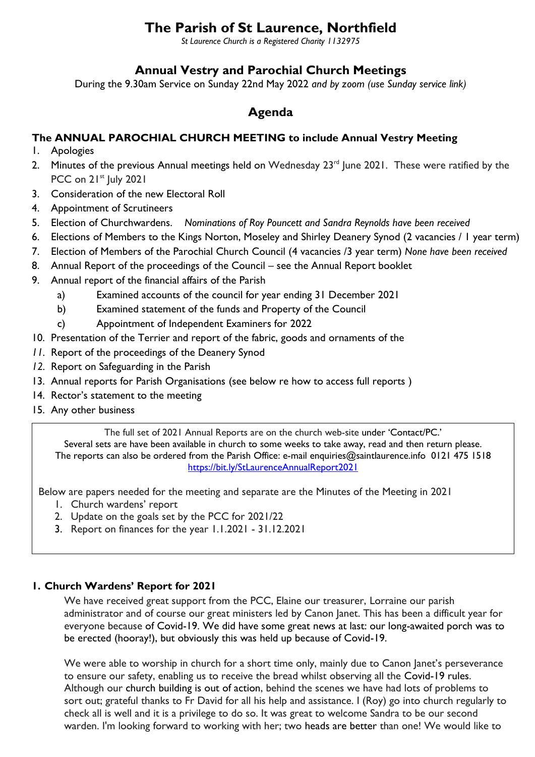# **The Parish of St Laurence, Northfield**

*St Laurence Church is a Registered Charity 1132975*

# **Annual Vestry and Parochial Church Meetings**

During the 9.30am Service on Sunday 22nd May 2022 *and by zoom (use Sunday service link)*

# **Agenda**

### **The ANNUAL PAROCHIAL CHURCH MEETING to include Annual Vestry Meeting**

- 1. Apologies
- 2. Minutes of the previous Annual meetings held on Wednesday  $23<sup>rd</sup>$  June 2021. These were ratified by the PCC on 21<sup>st</sup> July 2021
- 3. Consideration of the new Electoral Roll
- 4. Appointment of Scrutineers
- 5. Election of Churchwardens. *Nominations of Roy Pouncett and Sandra Reynolds have been received*
- 6. Elections of Members to the Kings Norton, Moseley and Shirley Deanery Synod (2 vacancies / 1 year term)
- 7. Election of Members of the Parochial Church Council (4 vacancies /3 year term) *None have been received*
- 8. Annual Report of the proceedings of the Council see the Annual Report booklet
- 9. Annual report of the financial affairs of the Parish
	- a) Examined accounts of the council for year ending 31 December 2021
	- b) Examined statement of the funds and Property of the Council
	- c) Appointment of Independent Examiners for 2022
- 10. Presentation of the Terrier and report of the fabric, goods and ornaments of the
- *11.* Report of the proceedings of the Deanery Synod
- *12.* Report on Safeguarding in the Parish
- 13. Annual reports for Parish Organisations (see below re how to access full reports )
- 14. Rector's statement to the meeting
- 15. Any other business

The full set of 2021 Annual Reports are on the church web-site under 'Contact/PC.' Several sets are have been available in church to some weeks to take away, read and then return please. The reports can also be ordered from the Parish Office: e-mail enquiries@saintlaurence.info 0121 475 1518 [https://bit.ly/StLaurenceAnnualReport2021](about:blank)

Below are papers needed for the meeting and separate are the Minutes of the Meeting in 2021

- 1. Church wardens' report
- 2. Update on the goals set by the PCC for 2021/22
- 3. Report on finances for the year 1.1.2021 31.12.2021

#### **1. Church Wardens' Report for 2021**

We have received great support from the PCC, Elaine our treasurer, Lorraine our parish administrator and of course our great ministers led by Canon Janet. This has been a difficult year for everyone because of Covid-19. We did have some great news at last: our long-awaited porch was to be erected (hooray!), but obviously this was held up because of Covid-19.

We were able to worship in church for a short time only, mainly due to Canon Janet's perseverance to ensure our safety, enabling us to receive the bread whilst observing all the Covid-19 rules. Although our church building is out of action, behind the scenes we have had lots of problems to sort out; grateful thanks to Fr David for all his help and assistance. I (Roy) go into church regularly to check all is well and it is a privilege to do so. It was great to welcome Sandra to be our second warden. I'm looking forward to working with her; two heads are better than one! We would like to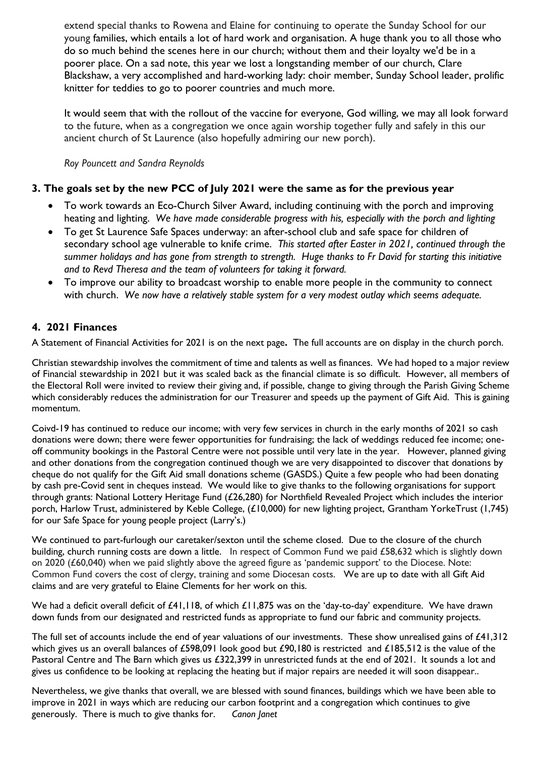extend special thanks to Rowena and Elaine for continuing to operate the Sunday School for our young families, which entails a lot of hard work and organisation. A huge thank you to all those who do so much behind the scenes here in our church; without them and their loyalty we'd be in a poorer place. On a sad note, this year we lost a longstanding member of our church, Clare Blackshaw, a very accomplished and hard-working lady: choir member, Sunday School leader, prolific knitter for teddies to go to poorer countries and much more.

It would seem that with the rollout of the vaccine for everyone, God willing, we may all look forward to the future, when as a congregation we once again worship together fully and safely in this our ancient church of St Laurence (also hopefully admiring our new porch).

*Roy Pouncett and Sandra Reynolds*

### **3. The goals set by the new PCC of July 2021 were the same as for the previous year**

- To work towards an Eco-Church Silver Award, including continuing with the porch and improving heating and lighting. *We have made considerable progress with his, especially with the porch and lighting*
- To get St Laurence Safe Spaces underway: an after-school club and safe space for children of secondary school age vulnerable to knife crime. *This started after Easter in 2021, continued through the summer holidays and has gone from strength to strength. Huge thanks to Fr David for starting this initiative and to Revd Theresa and the team of volunteers for taking it forward.*
- To improve our ability to broadcast worship to enable more people in the community to connect with church. *We now have a relatively stable system for a very modest outlay which seems adequate.*

#### **4. 2021 Finances**

A Statement of Financial Activities for 2021 is on the next page**.** The full accounts are on display in the church porch.

Christian stewardship involves the commitment of time and talents as well as finances. We had hoped to a major review of Financial stewardship in 2021 but it was scaled back as the financial climate is so difficult. However, all members of the Electoral Roll were invited to review their giving and, if possible, change to giving through the Parish Giving Scheme which considerably reduces the administration for our Treasurer and speeds up the payment of Gift Aid. This is gaining momentum.

Coivd-19 has continued to reduce our income; with very few services in church in the early months of 2021 so cash donations were down; there were fewer opportunities for fundraising; the lack of weddings reduced fee income; oneoff community bookings in the Pastoral Centre were not possible until very late in the year. However, planned giving and other donations from the congregation continued though we are very disappointed to discover that donations by cheque do not qualify for the Gift Aid small donations scheme (GASDS.) Quite a few people who had been donating by cash pre-Covid sent in cheques instead. We would like to give thanks to the following organisations for support through grants: National Lottery Heritage Fund (£26,280) for Northfield Revealed Project which includes the interior porch, Harlow Trust, administered by Keble College, (£10,000) for new lighting project, Grantham YorkeTrust (1,745) for our Safe Space for young people project (Larry's.)

We continued to part-furlough our caretaker/sexton until the scheme closed. Due to the closure of the church building, church running costs are down a little. In respect of Common Fund we paid £58,632 which is slightly down on 2020 (£60,040) when we paid slightly above the agreed figure as 'pandemic support' to the Diocese. Note: Common Fund covers the cost of clergy, training and some Diocesan costs. We are up to date with all Gift Aid claims and are very grateful to Elaine Clements for her work on this.

We had a deficit overall deficit of £41,118, of which £11,875 was on the 'day-to-day' expenditure. We have drawn down funds from our designated and restricted funds as appropriate to fund our fabric and community projects.

The full set of accounts include the end of year valuations of our investments. These show unrealised gains of  $£41,312$ which gives us an overall balances of £598,091 look good but £90,180 is restricted and £185,512 is the value of the Pastoral Centre and The Barn which gives us £322,399 in unrestricted funds at the end of 2021. It sounds a lot and gives us confidence to be looking at replacing the heating but if major repairs are needed it will soon disappear..

Nevertheless, we give thanks that overall, we are blessed with sound finances, buildings which we have been able to improve in 2021 in ways which are reducing our carbon footprint and a congregation which continues to give generously. There is much to give thanks for. *Canon Janet*